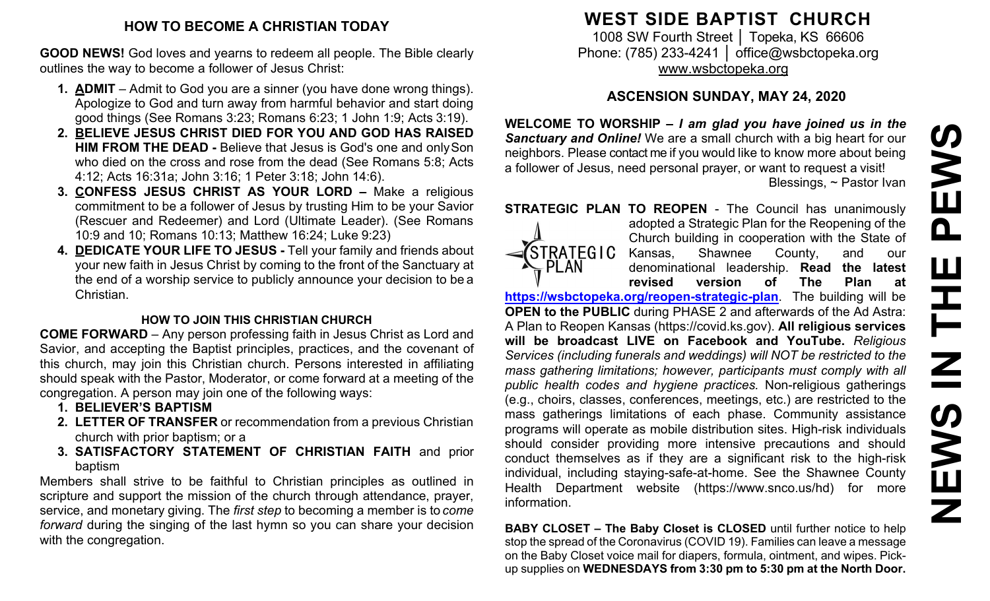#### **HOW TO BECOME A CHRISTIAN TODAY**

**GOOD NEWS!** God loves and yearns to redeem all people. The Bible clearly outlines the way to become a follower of Jesus Christ:

- **1. ADMIT**  Admit to God you are a sinner (you have done wrong things). Apologize to God and turn away from harmful behavior and start doing good things (See Romans 3:23; Romans 6:23; 1 John 1:9; Acts 3:19).
- **2. BELIEVE JESUS CHRIST DIED FOR YOU AND GOD HAS RAISED HIM FROM THE DEAD -** Believe that Jesus is God's one and onlySon who died on the cross and rose from the dead (See Romans 5:8; Acts 4:12; Acts 16:31a; John 3:16; 1 Peter 3:18; John 14:6).
- **3. CONFESS JESUS CHRIST AS YOUR LORD –** Make a religious commitment to be a follower of Jesus by trusting Him to be your Savior (Rescuer and Redeemer) and Lord (Ultimate Leader). (See Romans 10:9 and 10; Romans 10:13; Matthew 16:24; Luke 9:23)
- **4. DEDICATE YOUR LIFE TO JESUS -** Tell your family and friends about your new faith in Jesus Christ by coming to the front of the Sanctuary at the end of a worship service to publicly announce your decision to be a Christian.

#### **HOW TO JOIN THIS CHRISTIAN CHURCH**

**COME FORWARD** – Any person professing faith in Jesus Christ as Lord and Savior, and accepting the Baptist principles, practices, and the covenant of this church, may join this Christian church. Persons interested in affiliating should speak with the Pastor, Moderator, or come forward at a meeting of the congregation. A person may join one of the following ways:

- **1. BELIEVER'S BAPTISM**
- **2. LETTER OF TRANSFER** or recommendation from a previous Christian church with prior baptism; or a
- **3. SATISFACTORY STATEMENT OF CHRISTIAN FAITH** and prior baptism

Members shall strive to be faithful to Christian principles as outlined in scripture and support the mission of the church through attendance, prayer, service, and monetary giving. The *first step* to becoming a member is to *come forward* during the singing of the last hymn so you can share your decision with the congregation.

## **WEST SIDE BAPTIST CHURCH**

1008 SW Fourth Street | Topeka, KS 66606 Phone: (785) 233-4241 │ [office@wsbctopeka.org](mailto:office@wsbctopeka.org) [www.wsbctopeka.org](http://www.wsbctopeka.org/)

### **ASCENSION SUNDAY, MAY 24, 2020**

**WELCOME TO WORSHIP –** *I am glad you have joined us in the Sanctuary and Online!* We are a small church with a big heart for our neighbors. Please contact me if you would like to know more about being a follower of Jesus, need personal prayer, or want to request a visit! Blessings, ~ Pastor Ivan

**STRATEGIC PLAN TO REOPEN - The Council has unanimously** 



adopted a Strategic Plan for the Reopening of the Church building in cooperation with the State of Kansas, Shawnee County, and our denominational leadership. **Read the latest revised version of The Plan at**

**<https://wsbctopeka.org/reopen-strategic-plan>**. The building will be **OPEN to the PUBLIC** during PHASE 2 and afterwards of the Ad Astra: A Plan to Reopen Kansas (https://covid.ks.gov). **All religious services will be broadcast LIVE on Facebook and YouTube.** *Religious Services (including funerals and weddings) will NOT be restricted to the mass gathering limitations; however, participants must comply with all public health codes and hygiene practices.* Non-religious gatherings (e.g., choirs, classes, conferences, meetings, etc.) are restricted to the mass gatherings limitations of each phase. Community assistance programs will operate as mobile distribution sites. High-risk individuals should consider providing more intensive precautions and should conduct themselves as if they are a significant risk to the high-risk individual, including staying-safe-at-home. See the Shawnee County Health Department website (https://www.snco.us/hd) for more information.

**BABY CLOSET – The Baby Closet is CLOSED** until further notice to help stop the spread of the Coronavirus (COVID 19). Families can leave a message on the Baby Closet voice mail for diapers, formula, ointment, and wipes. Pickup supplies on **WEDNESDAYS from 3:30 pm to 5:30 pm at the North Door.**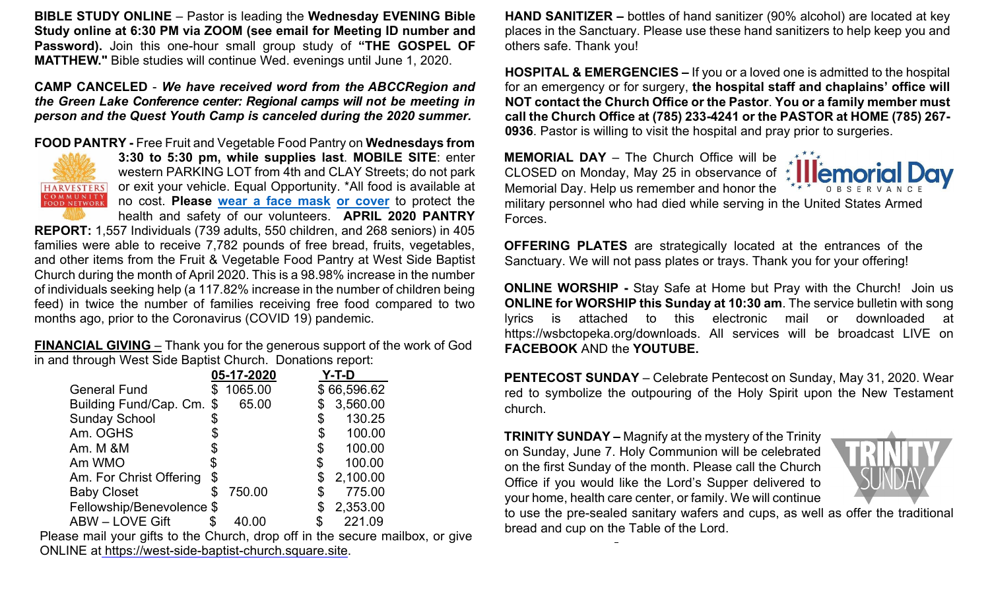**BIBLE STUDY ONLINE** – Pastor is leading the **Wednesday EVENING Bible Study online at 6:30 PM via ZOOM (see email for Meeting ID number and Password).** Join this one-hour small group study of **"THE GOSPEL OF MATTHEW."** Bible studies will continue Wed. evenings until June 1, 2020.

**CAMP CANCELED** - *We have received word from the ABCCRegion and the Green Lake Conference center: Regional camps will not be meeting in person and the Quest Youth Camp is canceled during the 2020 summer.* 

#### **FOOD PANTRY -** Free Fruit and Vegetable Food Pantry on **Wednesdays from**



**3:30 to 5:30 pm, while supplies last**. **MOBILE SITE**: enter western PARKING LOT from 4th and CLAY Streets; do not park or exit your vehicle. Equal Opportunity. \*All food is available at no cost. **Please [wear a face mask](https://www.cdc.gov/coronavirus/2019-ncov/prevent-getting-sick/diy-cloth-face-coverings.html) [or cover](https://www.cdc.gov/coronavirus/2019-ncov/prevent-getting-sick/diy-cloth-face-coverings.html)** to protect the health and safety of our volunteers. **APRIL 2020 PANTRY** 

**REPORT:** 1,557 Individuals (739 adults, 550 children, and 268 seniors) in 405 families were able to receive 7,782 pounds of free bread, fruits, vegetables, and other items from the Fruit & Vegetable Food Pantry at West Side Baptist Church during the month of April 2020. This is a 98.98% increase in the number of individuals seeking help (a 117.82% increase in the number of children being feed) in twice the number of families receiving free food compared to two months ago, prior to the Coronavirus (COVID 19) pandemic.

**FINANCIAL GIVING** – Thank you for the generous support of the work of God in and through West Side Baptist Church. Donations report:

|                           |    | 05-17-2020 | Y-T-D |             |
|---------------------------|----|------------|-------|-------------|
| <b>General Fund</b>       |    | 1065.00    |       | \$66,596.62 |
| Building Fund/Cap. Cm. \$ |    | 65.00      |       | 3,560.00    |
| <b>Sunday School</b>      | \$ |            | \$    | 130.25      |
| Am. OGHS                  |    |            | \$    | 100.00      |
| Am. M &M                  |    |            | \$    | 100.00      |
| Am WMO                    | S  |            | \$    | 100.00      |
| Am. For Christ Offering   | \$ |            | \$    | 2,100.00    |
| <b>Baby Closet</b>        | S  | 750.00     |       | 775.00      |
| Fellowship/Benevolence \$ |    |            | \$    | 2,353.00    |
| ABW - LOVE Gift           |    |            |       | 221.09      |

Please mail your gifts to the Church, drop off in the secure mailbox, or give ONLINE at [https://west-side-baptist-church.square.site.](https://west-side-baptist-church.square.site/)

**HAND SANITIZER –** bottles of hand sanitizer (90% alcohol) are located at key places in the Sanctuary. Please use these hand sanitizers to help keep you and others safe. Thank you!

**HOSPITAL & EMERGENCIES –** If you or a loved one is admitted to the hospital for an emergency or for surgery, **the hospital staff and chaplains' office will NOT contact the Church Office or the Pastor**. **You or a family member must call the Church Office at (785) 233-4241 or the PASTOR at HOME (785) 267- 0936**. Pastor is willing to visit the hospital and pray prior to surgeries.

**MEMORIAL DAY** – The Church Office will be CLOSED on Monday, May 25 in observance of  $\uparrow$ Memorial Day. Help us remember and honor the military personnel who had died while serving in the United States Armed Forces.



**OFFERING PLATES** are strategically located at the entrances of the Sanctuary. We will not pass plates or trays. Thank you for your offering!

**ONLINE WORSHIP -** Stay Safe at Home but Pray with the Church! Join us **ONLINE for WORSHIP this Sunday at 10:30 am**. The service bulletin with song lyrics is attached to this electronic mail or downloaded at https://wsbctopeka.org/downloads. All services will be broadcast LIVE on **FACEBOOK** AND the **YOUTUBE.** 

**PENTECOST SUNDAY** – Celebrate Pentecost on Sunday, May 31, 2020. Wear red to symbolize the outpouring of the Holy Spirit upon the New Testament church.

**TRINITY SUNDAY –** Magnify at the mystery of the Trinity on Sunday, June 7. Holy Communion will be celebrated on the first Sunday of the month. Please call the Church Office if you would like the Lord's Supper delivered to your home, health care center, or family. We will continue



to use the pre-sealed sanitary wafers and cups, as well as offer the traditional bread and cup on the Table of the Lord.